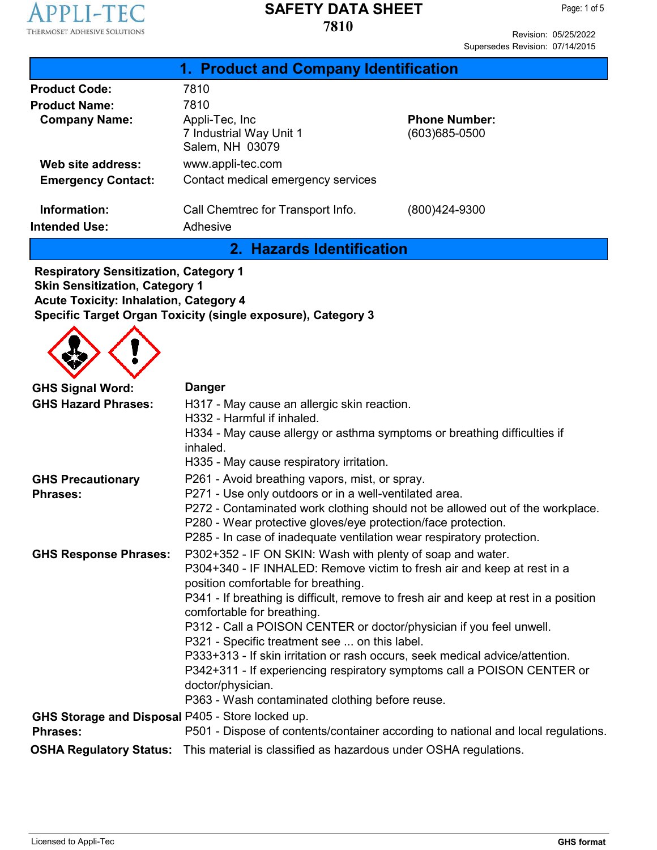

Revision: 05/25/2022 Supersedes Revision: 07/14/2015

|                                      | 1. Product and Company Identification                        |                                           |
|--------------------------------------|--------------------------------------------------------------|-------------------------------------------|
| <b>Product Code:</b>                 | 7810                                                         |                                           |
| <b>Product Name:</b>                 | 7810                                                         |                                           |
| <b>Company Name:</b>                 | Appli-Tec, Inc<br>7 Industrial Way Unit 1<br>Salem, NH 03079 | <b>Phone Number:</b><br>$(603)685 - 0500$ |
| Web site address:                    | www.appli-tec.com                                            |                                           |
| <b>Emergency Contact:</b>            | Contact medical emergency services                           |                                           |
| Information:<br><b>Intended Use:</b> | Call Chemtrec for Transport Info.<br>Adhesive                | (800)424-9300                             |

**2. Hazards Identification**

**Respiratory Sensitization, Category 1 Skin Sensitization, Category 1 Acute Toxicity: Inhalation, Category 4 Specific Target Organ Toxicity (single exposure), Category 3**



| <b>GHS Signal Word:</b><br><b>GHS Hazard Phrases:</b>               | <b>Danger</b><br>H317 - May cause an allergic skin reaction.<br>H332 - Harmful if inhaled.<br>H334 - May cause allergy or asthma symptoms or breathing difficulties if<br>inhaled.<br>H335 - May cause respiratory irritation.                                                                                                                                                                                                                                                                                                                                                                                                                                |
|---------------------------------------------------------------------|---------------------------------------------------------------------------------------------------------------------------------------------------------------------------------------------------------------------------------------------------------------------------------------------------------------------------------------------------------------------------------------------------------------------------------------------------------------------------------------------------------------------------------------------------------------------------------------------------------------------------------------------------------------|
| <b>GHS Precautionary</b><br><b>Phrases:</b>                         | P261 - Avoid breathing vapors, mist, or spray.<br>P271 - Use only outdoors or in a well-ventilated area.<br>P272 - Contaminated work clothing should not be allowed out of the workplace.<br>P280 - Wear protective gloves/eye protection/face protection.<br>P285 - In case of inadequate ventilation wear respiratory protection.                                                                                                                                                                                                                                                                                                                           |
| <b>GHS Response Phrases:</b>                                        | P302+352 - IF ON SKIN: Wash with plenty of soap and water.<br>P304+340 - IF INHALED: Remove victim to fresh air and keep at rest in a<br>position comfortable for breathing.<br>P341 - If breathing is difficult, remove to fresh air and keep at rest in a position<br>comfortable for breathing.<br>P312 - Call a POISON CENTER or doctor/physician if you feel unwell.<br>P321 - Specific treatment see  on this label.<br>P333+313 - If skin irritation or rash occurs, seek medical advice/attention.<br>P342+311 - If experiencing respiratory symptoms call a POISON CENTER or<br>doctor/physician.<br>P363 - Wash contaminated clothing before reuse. |
| GHS Storage and Disposal P405 - Store locked up.<br><b>Phrases:</b> | P501 - Dispose of contents/container according to national and local regulations.                                                                                                                                                                                                                                                                                                                                                                                                                                                                                                                                                                             |
|                                                                     | <b>OSHA Regulatory Status:</b> This material is classified as hazardous under OSHA regulations.                                                                                                                                                                                                                                                                                                                                                                                                                                                                                                                                                               |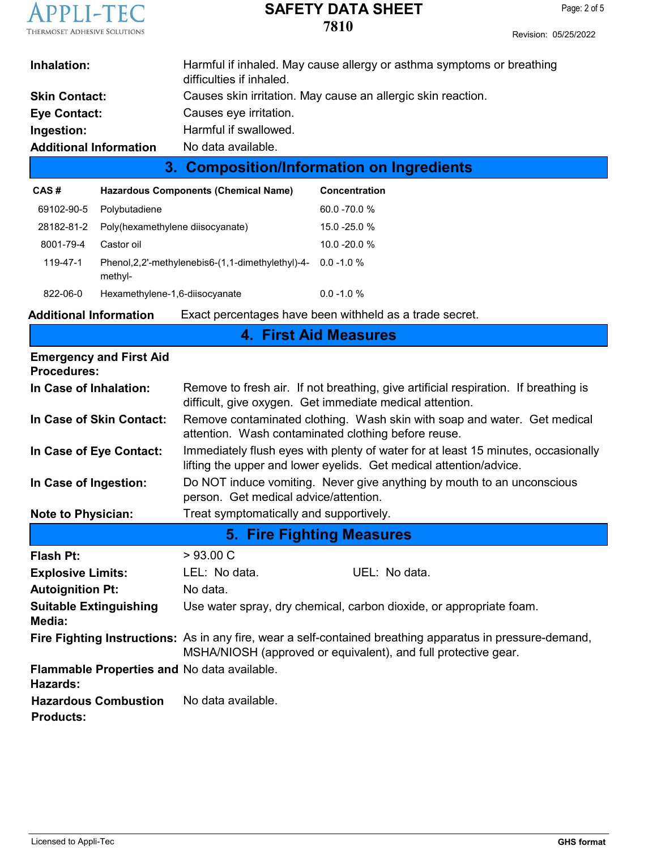

|                               | 3. Composition/Information on Ingredients                                                         |
|-------------------------------|---------------------------------------------------------------------------------------------------|
| <b>Additional Information</b> | No data available.                                                                                |
| Ingestion:                    | Harmful if swallowed.                                                                             |
| Eye Contact:                  | Causes eye irritation.                                                                            |
| <b>Skin Contact:</b>          | Causes skin irritation. May cause an allergic skin reaction.                                      |
| Inhalation:                   | Harmful if inhaled. May cause allergy or asthma symptoms or breathing<br>difficulties if inhaled. |
|                               |                                                                                                   |

| CAS#       | <b>Hazardous Components (Chemical Name)</b>                               | Concentration   |
|------------|---------------------------------------------------------------------------|-----------------|
| 69102-90-5 | Polybutadiene                                                             | $60.0 - 70.0 %$ |
| 28182-81-2 | Poly(hexamethylene diisocyanate)                                          | $15.0 - 25.0 %$ |
| 8001-79-4  | Castor oil                                                                | $10.0 - 20.0 %$ |
| 119-47-1   | Phenol, 2, 2'-methylenebis 6-(1, 1-dimethylethyl)-4- 0.0-1.0 %<br>methyl- |                 |
| 822-06-0   | Hexamethylene-1,6-diisocyanate                                            | $0.0 - 1.0 %$   |

**Additional Information** Exact percentages have been withheld as a trade secret.

|                                                         | <b>4. First Aid Measures</b>                                                                                                                                                |  |  |  |
|---------------------------------------------------------|-----------------------------------------------------------------------------------------------------------------------------------------------------------------------------|--|--|--|
| <b>Emergency and First Aid</b><br><b>Procedures:</b>    |                                                                                                                                                                             |  |  |  |
| In Case of Inhalation:                                  | Remove to fresh air. If not breathing, give artificial respiration. If breathing is<br>difficult, give oxygen. Get immediate medical attention.                             |  |  |  |
| In Case of Skin Contact:                                | Remove contaminated clothing. Wash skin with soap and water. Get medical<br>attention. Wash contaminated clothing before reuse.                                             |  |  |  |
| In Case of Eye Contact:                                 | Immediately flush eyes with plenty of water for at least 15 minutes, occasionally<br>lifting the upper and lower eyelids. Get medical attention/advice.                     |  |  |  |
| In Case of Ingestion:                                   | Do NOT induce vomiting. Never give anything by mouth to an unconscious<br>person. Get medical advice/attention.                                                             |  |  |  |
| <b>Note to Physician:</b>                               | Treat symptomatically and supportively.                                                                                                                                     |  |  |  |
|                                                         | <b>5. Fire Fighting Measures</b>                                                                                                                                            |  |  |  |
| Flash Pt:                                               | > 93.00 C                                                                                                                                                                   |  |  |  |
| <b>Explosive Limits:</b>                                | LEL: No data.<br>UEL: No data.                                                                                                                                              |  |  |  |
| <b>Autoignition Pt:</b>                                 | No data.                                                                                                                                                                    |  |  |  |
| <b>Suitable Extinguishing</b><br>Media:                 | Use water spray, dry chemical, carbon dioxide, or appropriate foam.                                                                                                         |  |  |  |
|                                                         | Fire Fighting Instructions: As in any fire, wear a self-contained breathing apparatus in pressure-demand,<br>MSHA/NIOSH (approved or equivalent), and full protective gear. |  |  |  |
| Flammable Properties and No data available.<br>Hazards: |                                                                                                                                                                             |  |  |  |
| <b>Hazardous Combustion</b><br><b>Products:</b>         | No data available.                                                                                                                                                          |  |  |  |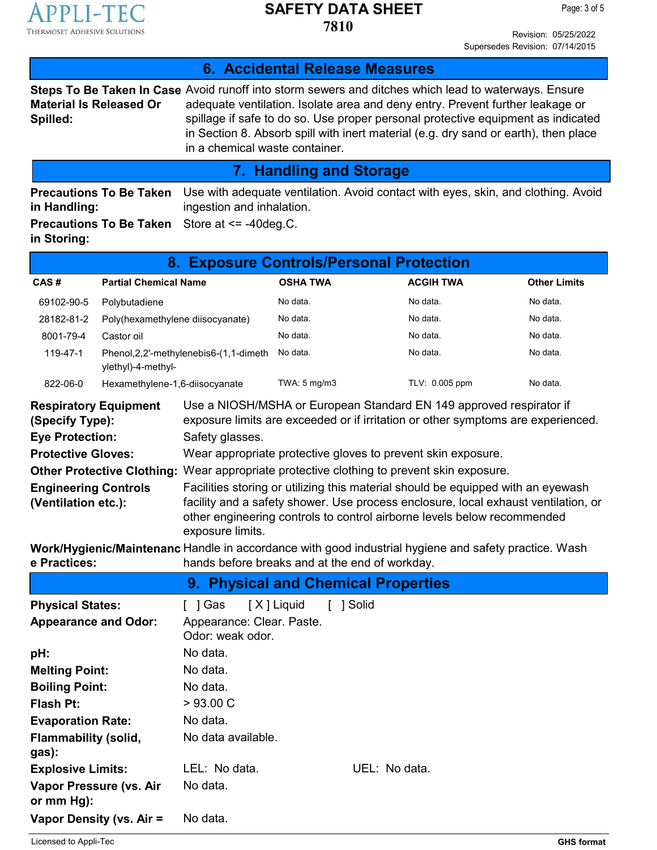

**6. Accidental Release Measures**

Revision: 05/25/2022 Supersedes Revision: 07/14/2015

| <b>Material Is Released Or</b><br>Spilled:                                                                                                                                                                                                     |                                  | Steps To Be Taken In Case Avoid runoff into storm sewers and ditches which lead to waterways. Ensure<br>in a chemical waste container.                                                                                                                                                                                                                                                                                                                                                                              |                         |               |                  | adequate ventilation. Isolate area and deny entry. Prevent further leakage or<br>spillage if safe to do so. Use proper personal protective equipment as indicated<br>in Section 8. Absorb spill with inert material (e.g. dry sand or earth), then place   |
|------------------------------------------------------------------------------------------------------------------------------------------------------------------------------------------------------------------------------------------------|----------------------------------|---------------------------------------------------------------------------------------------------------------------------------------------------------------------------------------------------------------------------------------------------------------------------------------------------------------------------------------------------------------------------------------------------------------------------------------------------------------------------------------------------------------------|-------------------------|---------------|------------------|------------------------------------------------------------------------------------------------------------------------------------------------------------------------------------------------------------------------------------------------------------|
|                                                                                                                                                                                                                                                |                                  |                                                                                                                                                                                                                                                                                                                                                                                                                                                                                                                     | 7. Handling and Storage |               |                  |                                                                                                                                                                                                                                                            |
| Use with adequate ventilation. Avoid contact with eyes, skin, and clothing. Avoid<br><b>Precautions To Be Taken</b><br>ingestion and inhalation.<br>in Handling:<br>Store at $\le$ -40 deg.C.<br><b>Precautions To Be Taken</b><br>in Storing: |                                  |                                                                                                                                                                                                                                                                                                                                                                                                                                                                                                                     |                         |               |                  |                                                                                                                                                                                                                                                            |
|                                                                                                                                                                                                                                                |                                  | 8. Exposure Controls/Personal Protection                                                                                                                                                                                                                                                                                                                                                                                                                                                                            |                         |               |                  |                                                                                                                                                                                                                                                            |
| CAS#                                                                                                                                                                                                                                           | <b>Partial Chemical Name</b>     |                                                                                                                                                                                                                                                                                                                                                                                                                                                                                                                     | <b>OSHA TWA</b>         |               | <b>ACGIH TWA</b> | <b>Other Limits</b>                                                                                                                                                                                                                                        |
| 69102-90-5                                                                                                                                                                                                                                     | Polybutadiene                    |                                                                                                                                                                                                                                                                                                                                                                                                                                                                                                                     | No data.                |               | No data.         | No data.                                                                                                                                                                                                                                                   |
| 28182-81-2                                                                                                                                                                                                                                     | Poly(hexamethylene diisocyanate) |                                                                                                                                                                                                                                                                                                                                                                                                                                                                                                                     | No data.                |               | No data.         | No data.                                                                                                                                                                                                                                                   |
| 8001-79-4                                                                                                                                                                                                                                      | Castor oil                       |                                                                                                                                                                                                                                                                                                                                                                                                                                                                                                                     | No data.                |               | No data.         | No data.                                                                                                                                                                                                                                                   |
| 119-47-1                                                                                                                                                                                                                                       | ylethyl)-4-methyl-               | Phenol, 2, 2'-methylenebis6-(1, 1-dimeth                                                                                                                                                                                                                                                                                                                                                                                                                                                                            | No data.                |               | No data.         | No data.                                                                                                                                                                                                                                                   |
| 822-06-0                                                                                                                                                                                                                                       | Hexamethylene-1,6-diisocyanate   |                                                                                                                                                                                                                                                                                                                                                                                                                                                                                                                     | TWA: 5 mg/m3            |               | TLV: 0.005 ppm   | No data.                                                                                                                                                                                                                                                   |
| <b>Respiratory Equipment</b><br>(Specify Type):<br><b>Eye Protection:</b><br><b>Protective Gloves:</b><br><b>Engineering Controls</b><br>(Ventilation etc.):<br>e Practices:                                                                   |                                  | Use a NIOSH/MSHA or European Standard EN 149 approved respirator if<br>Safety glasses.<br>Wear appropriate protective gloves to prevent skin exposure.<br><b>Other Protective Clothing:</b> Wear appropriate protective clothing to prevent skin exposure.<br>other engineering controls to control airborne levels below recommended<br>exposure limits.<br>Work/Hygienic/Maintenanc Handle in accordance with good industrial hygiene and safety practice. Wash<br>hands before breaks and at the end of workday. |                         |               |                  | exposure limits are exceeded or if irritation or other symptoms are experienced.<br>Facilities storing or utilizing this material should be equipped with an eyewash<br>facility and a safety shower. Use process enclosure, local exhaust ventilation, or |
|                                                                                                                                                                                                                                                |                                  | 9. Physical and Chemical Properties                                                                                                                                                                                                                                                                                                                                                                                                                                                                                 |                         |               |                  |                                                                                                                                                                                                                                                            |
| <b>Physical States:</b><br><b>Appearance and Odor:</b>                                                                                                                                                                                         |                                  | [ ] Gas<br>Appearance: Clear. Paste.<br>Odor: weak odor.                                                                                                                                                                                                                                                                                                                                                                                                                                                            | [X] Liquid              | [ ] Solid     |                  |                                                                                                                                                                                                                                                            |
| pH:                                                                                                                                                                                                                                            |                                  | No data.                                                                                                                                                                                                                                                                                                                                                                                                                                                                                                            |                         |               |                  |                                                                                                                                                                                                                                                            |
| <b>Melting Point:</b>                                                                                                                                                                                                                          |                                  | No data.                                                                                                                                                                                                                                                                                                                                                                                                                                                                                                            |                         |               |                  |                                                                                                                                                                                                                                                            |
| <b>Boiling Point:</b>                                                                                                                                                                                                                          |                                  | No data.                                                                                                                                                                                                                                                                                                                                                                                                                                                                                                            |                         |               |                  |                                                                                                                                                                                                                                                            |
| <b>Flash Pt:</b>                                                                                                                                                                                                                               |                                  | >93.00 C                                                                                                                                                                                                                                                                                                                                                                                                                                                                                                            |                         |               |                  |                                                                                                                                                                                                                                                            |
| <b>Evaporation Rate:</b>                                                                                                                                                                                                                       |                                  | No data.                                                                                                                                                                                                                                                                                                                                                                                                                                                                                                            |                         |               |                  |                                                                                                                                                                                                                                                            |
| <b>Flammability (solid,</b><br>gas):                                                                                                                                                                                                           |                                  | No data available.                                                                                                                                                                                                                                                                                                                                                                                                                                                                                                  |                         |               |                  |                                                                                                                                                                                                                                                            |
| <b>Explosive Limits:</b>                                                                                                                                                                                                                       |                                  | LEL: No data.                                                                                                                                                                                                                                                                                                                                                                                                                                                                                                       |                         | UEL: No data. |                  |                                                                                                                                                                                                                                                            |
| Vapor Pressure (vs. Air<br>or mm Hg):                                                                                                                                                                                                          |                                  | No data.                                                                                                                                                                                                                                                                                                                                                                                                                                                                                                            |                         |               |                  |                                                                                                                                                                                                                                                            |

**Vapor Density (vs. Air = No data.**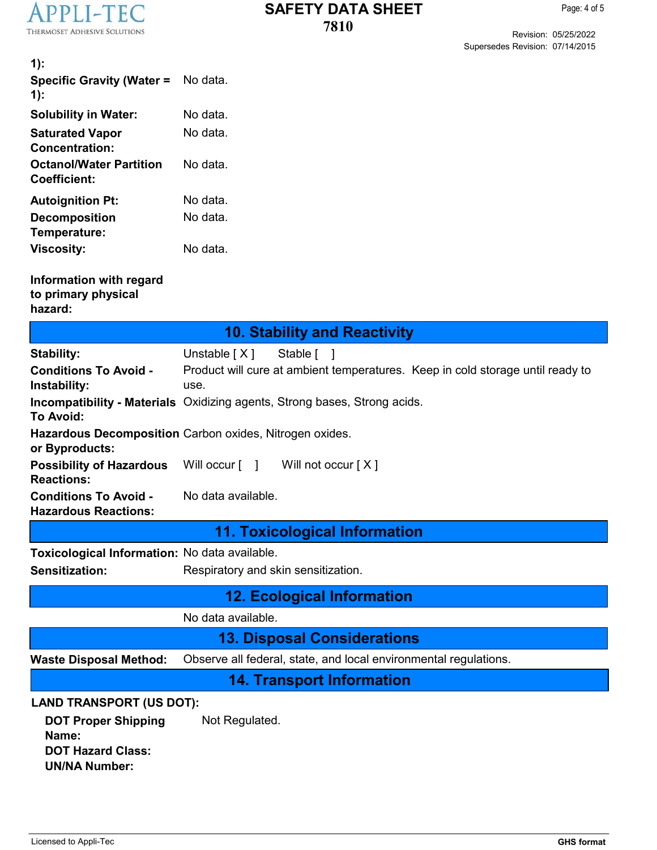

Revision: 05/25/2022 Supersedes Revision: 07/14/2015

| $1)$ :<br><b>Specific Gravity (Water =</b><br>$1)$ :                                    | No data.                                                                               |
|-----------------------------------------------------------------------------------------|----------------------------------------------------------------------------------------|
| <b>Solubility in Water:</b>                                                             | No data.                                                                               |
| <b>Saturated Vapor</b><br><b>Concentration:</b>                                         | No data.                                                                               |
| <b>Octanol/Water Partition</b><br><b>Coefficient:</b>                                   | No data.                                                                               |
| <b>Autoignition Pt:</b>                                                                 | No data.                                                                               |
| <b>Decomposition</b><br>Temperature:                                                    | No data.                                                                               |
| <b>Viscosity:</b>                                                                       | No data.                                                                               |
| Information with regard<br>to primary physical<br>hazard:                               |                                                                                        |
|                                                                                         | <b>10. Stability and Reactivity</b>                                                    |
| <b>Stability:</b>                                                                       | Unstable $[X]$<br>Stable [ ]                                                           |
| <b>Conditions To Avoid -</b><br>Instability:                                            | Product will cure at ambient temperatures. Keep in cold storage until ready to<br>use. |
| <b>To Avoid:</b>                                                                        | <b>Incompatibility - Materials</b> Oxidizing agents, Strong bases, Strong acids.       |
| or Byproducts:                                                                          | Hazardous Decomposition Carbon oxides, Nitrogen oxides.                                |
| <b>Possibility of Hazardous</b><br><b>Reactions:</b>                                    | Will not occur [X]<br>Will occur $[ \quad ]$                                           |
| <b>Conditions To Avoid -</b><br><b>Hazardous Reactions:</b>                             | No data available.                                                                     |
|                                                                                         | <b>11. Toxicological Information</b>                                                   |
| Toxicological Information: No data available.                                           |                                                                                        |
| <b>Sensitization:</b>                                                                   | Respiratory and skin sensitization.                                                    |
|                                                                                         | <b>12. Ecological Information</b>                                                      |
|                                                                                         | No data available.                                                                     |
|                                                                                         | <b>13. Disposal Considerations</b>                                                     |
| <b>Waste Disposal Method:</b>                                                           | Observe all federal, state, and local environmental regulations.                       |
|                                                                                         | <b>14. Transport Information</b>                                                       |
| <b>LAND TRANSPORT (US DOT):</b>                                                         |                                                                                        |
| <b>DOT Proper Shipping</b><br>Name:<br><b>DOT Hazard Class:</b><br><b>UN/NA Number:</b> | Not Regulated.                                                                         |